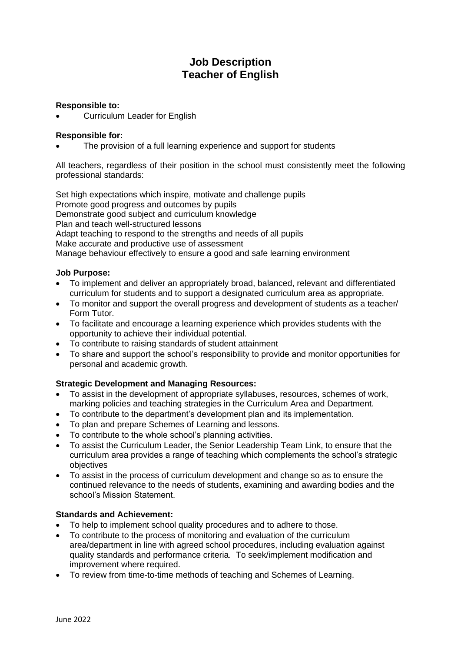# **Job Description Teacher of English**

## **Responsible to:**

• Curriculum Leader for English

### **Responsible for:**

The provision of a full learning experience and support for students

All teachers, regardless of their position in the school must consistently meet the following professional standards:

Set high expectations which inspire, motivate and challenge pupils Promote good progress and outcomes by pupils Demonstrate good subject and curriculum knowledge Plan and teach well-structured lessons Adapt teaching to respond to the strengths and needs of all pupils Make accurate and productive use of assessment

Manage behaviour effectively to ensure a good and safe learning environment

### **Job Purpose:**

- To implement and deliver an appropriately broad, balanced, relevant and differentiated curriculum for students and to support a designated curriculum area as appropriate.
- To monitor and support the overall progress and development of students as a teacher/ Form Tutor.
- To facilitate and encourage a learning experience which provides students with the opportunity to achieve their individual potential.
- To contribute to raising standards of student attainment
- To share and support the school's responsibility to provide and monitor opportunities for personal and academic growth.

# **Strategic Development and Managing Resources:**

- To assist in the development of appropriate syllabuses, resources, schemes of work, marking policies and teaching strategies in the Curriculum Area and Department.
- To contribute to the department's development plan and its implementation.
- To plan and prepare Schemes of Learning and lessons.
- To contribute to the whole school's planning activities.
- To assist the Curriculum Leader, the Senior Leadership Team Link, to ensure that the curriculum area provides a range of teaching which complements the school's strategic objectives
- To assist in the process of curriculum development and change so as to ensure the continued relevance to the needs of students, examining and awarding bodies and the school's Mission Statement.

## **Standards and Achievement:**

- To help to implement school quality procedures and to adhere to those.
- To contribute to the process of monitoring and evaluation of the curriculum area/department in line with agreed school procedures, including evaluation against quality standards and performance criteria. To seek/implement modification and improvement where required.
- To review from time-to-time methods of teaching and Schemes of Learning.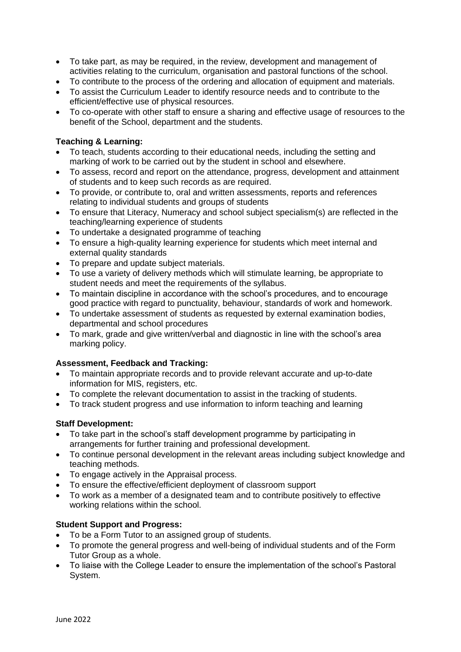- To take part, as may be required, in the review, development and management of activities relating to the curriculum, organisation and pastoral functions of the school.
- To contribute to the process of the ordering and allocation of equipment and materials.
- To assist the Curriculum Leader to identify resource needs and to contribute to the efficient/effective use of physical resources.
- To co-operate with other staff to ensure a sharing and effective usage of resources to the benefit of the School, department and the students.

## **Teaching & Learning:**

- To teach, students according to their educational needs, including the setting and marking of work to be carried out by the student in school and elsewhere.
- To assess, record and report on the attendance, progress, development and attainment of students and to keep such records as are required.
- To provide, or contribute to, oral and written assessments, reports and references relating to individual students and groups of students
- To ensure that Literacy, Numeracy and school subject specialism(s) are reflected in the teaching/learning experience of students
- To undertake a designated programme of teaching
- To ensure a high-quality learning experience for students which meet internal and external quality standards
- To prepare and update subject materials.
- To use a variety of delivery methods which will stimulate learning, be appropriate to student needs and meet the requirements of the syllabus.
- To maintain discipline in accordance with the school's procedures, and to encourage good practice with regard to punctuality, behaviour, standards of work and homework.
- To undertake assessment of students as requested by external examination bodies, departmental and school procedures
- To mark, grade and give written/verbal and diagnostic in line with the school's area marking policy.

### **Assessment, Feedback and Tracking:**

- To maintain appropriate records and to provide relevant accurate and up-to-date information for MIS, registers, etc.
- To complete the relevant documentation to assist in the tracking of students.
- To track student progress and use information to inform teaching and learning

### **Staff Development:**

- To take part in the school's staff development programme by participating in arrangements for further training and professional development.
- To continue personal development in the relevant areas including subject knowledge and teaching methods.
- To engage actively in the Appraisal process.
- To ensure the effective/efficient deployment of classroom support
- To work as a member of a designated team and to contribute positively to effective working relations within the school.

### **Student Support and Progress:**

- To be a Form Tutor to an assigned group of students.
- To promote the general progress and well-being of individual students and of the Form Tutor Group as a whole.
- To liaise with the College Leader to ensure the implementation of the school's Pastoral System.